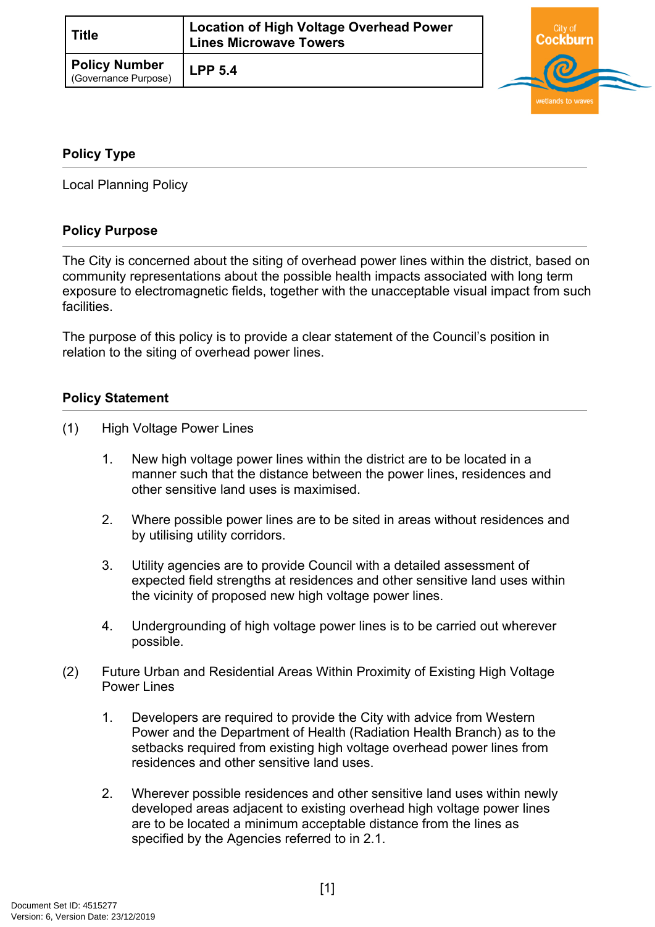| <b>Title</b>                                 | Location of High Voltage Overhead Power<br><b>Lines Microwave Towers</b> |  |
|----------------------------------------------|--------------------------------------------------------------------------|--|
| <b>Policy Number</b><br>(Governance Purpose) | <b>LPP 5.4</b>                                                           |  |



## <span id="page-0-0"></span>**[Policy Type](#page-0-0)**

Local Planning Policy

## **Policy Purpose**

The City is concerned about the siting of overhead power lines within the district, based on community representations about the possible health impacts associated with long term exposure to electromagnetic fields, together with the unacceptable visual impact from such facilities.

The purpose of this policy is to provide a clear statement of the Council's position in relation to the siting of overhead power lines.

## **Policy Statement**

- (1) High Voltage Power Lines
	- 1. New high voltage power lines within the district are to be located in a manner such that the distance between the power lines, residences and other sensitive land uses is maximised.
	- 2. Where possible power lines are to be sited in areas without residences and by utilising utility corridors.
	- 3. Utility agencies are to provide Council with a detailed assessment of expected field strengths at residences and other sensitive land uses within the vicinity of proposed new high voltage power lines.
	- 4. Undergrounding of high voltage power lines is to be carried out wherever possible.
- (2) Future Urban and Residential Areas Within Proximity of Existing High Voltage Power Lines
	- 1. Developers are required to provide the City with advice from Western Power and the Department of Health (Radiation Health Branch) as to the setbacks required from existing high voltage overhead power lines from residences and other sensitive land uses.
	- 2. Wherever possible residences and other sensitive land uses within newly developed areas adjacent to existing overhead high voltage power lines are to be located a minimum acceptable distance from the lines as specified by the Agencies referred to in 2.1.